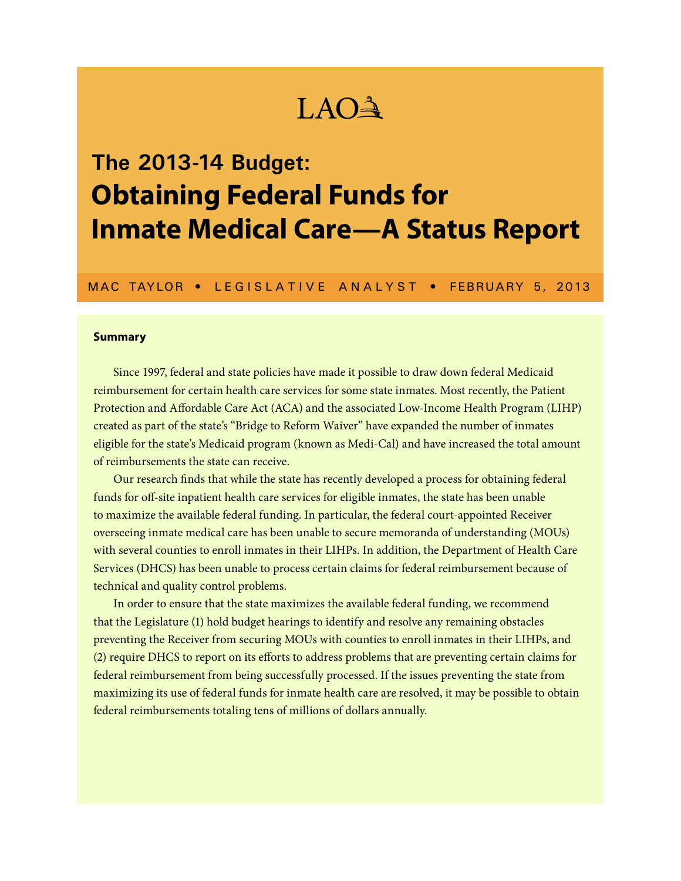# LAO

# **The 2013-14 Budget: Obtaining Federal Funds for Inmate Medical Care—A Status Report**

MAC TAYLOR • LEGISLATIVE ANALYST • FEBRUARY 5, 2013

#### **Summary**

Since 1997, federal and state policies have made it possible to draw down federal Medicaid reimbursement for certain health care services for some state inmates. Most recently, the Patient Protection and Affordable Care Act (ACA) and the associated Low-Income Health Program (LIHP) created as part of the state's "Bridge to Reform Waiver" have expanded the number of inmates eligible for the state's Medicaid program (known as Medi-Cal) and have increased the total amount of reimbursements the state can receive.

Our research finds that while the state has recently developed a process for obtaining federal funds for off-site inpatient health care services for eligible inmates, the state has been unable to maximize the available federal funding. In particular, the federal court-appointed Receiver overseeing inmate medical care has been unable to secure memoranda of understanding (MOUs) with several counties to enroll inmates in their LIHPs. In addition, the Department of Health Care Services (DHCS) has been unable to process certain claims for federal reimbursement because of technical and quality control problems.

In order to ensure that the state maximizes the available federal funding, we recommend that the Legislature (1) hold budget hearings to identify and resolve any remaining obstacles preventing the Receiver from securing MOUs with counties to enroll inmates in their LIHPs, and (2) require DHCS to report on its efforts to address problems that are preventing certain claims for federal reimbursement from being successfully processed. If the issues preventing the state from maximizing its use of federal funds for inmate health care are resolved, it may be possible to obtain federal reimbursements totaling tens of millions of dollars annually.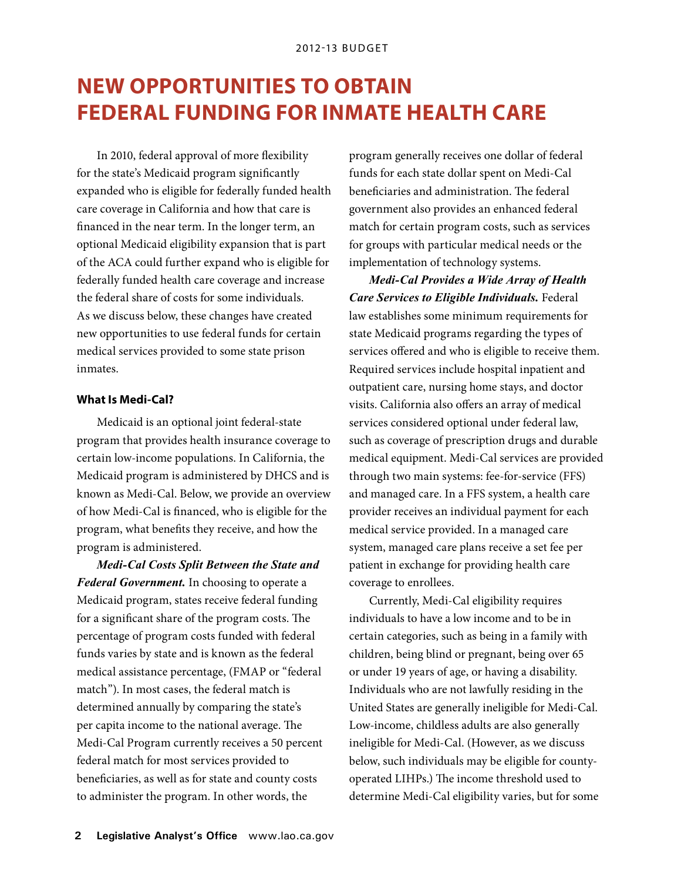## **New Opportunities to Obtain Federal Funding for Inmate Health Care**

In 2010, federal approval of more flexibility for the state's Medicaid program significantly expanded who is eligible for federally funded health care coverage in California and how that care is financed in the near term. In the longer term, an optional Medicaid eligibility expansion that is part of the ACA could further expand who is eligible for federally funded health care coverage and increase the federal share of costs for some individuals. As we discuss below, these changes have created new opportunities to use federal funds for certain medical services provided to some state prison inmates.

#### **What Is Medi-Cal?**

Medicaid is an optional joint federal-state program that provides health insurance coverage to certain low-income populations. In California, the Medicaid program is administered by DHCS and is known as Medi-Cal. Below, we provide an overview of how Medi-Cal is financed, who is eligible for the program, what benefits they receive, and how the program is administered.

*Medi-Cal Costs Split Between the State and Federal Government.* In choosing to operate a Medicaid program, states receive federal funding for a significant share of the program costs. The percentage of program costs funded with federal funds varies by state and is known as the federal medical assistance percentage, (FMAP or "federal match"). In most cases, the federal match is determined annually by comparing the state's per capita income to the national average. The Medi-Cal Program currently receives a 50 percent federal match for most services provided to beneficiaries, as well as for state and county costs to administer the program. In other words, the

program generally receives one dollar of federal funds for each state dollar spent on Medi-Cal beneficiaries and administration. The federal government also provides an enhanced federal match for certain program costs, such as services for groups with particular medical needs or the implementation of technology systems.

*Medi-Cal Provides a Wide Array of Health Care Services to Eligible Individuals.* Federal law establishes some minimum requirements for state Medicaid programs regarding the types of services offered and who is eligible to receive them. Required services include hospital inpatient and outpatient care, nursing home stays, and doctor visits. California also offers an array of medical services considered optional under federal law, such as coverage of prescription drugs and durable medical equipment. Medi-Cal services are provided through two main systems: fee-for-service (FFS) and managed care. In a FFS system, a health care provider receives an individual payment for each medical service provided. In a managed care system, managed care plans receive a set fee per patient in exchange for providing health care coverage to enrollees.

Currently, Medi-Cal eligibility requires individuals to have a low income and to be in certain categories, such as being in a family with children, being blind or pregnant, being over 65 or under 19 years of age, or having a disability. Individuals who are not lawfully residing in the United States are generally ineligible for Medi-Cal. Low-income, childless adults are also generally ineligible for Medi-Cal. (However, as we discuss below, such individuals may be eligible for countyoperated LIHPs.) The income threshold used to determine Medi-Cal eligibility varies, but for some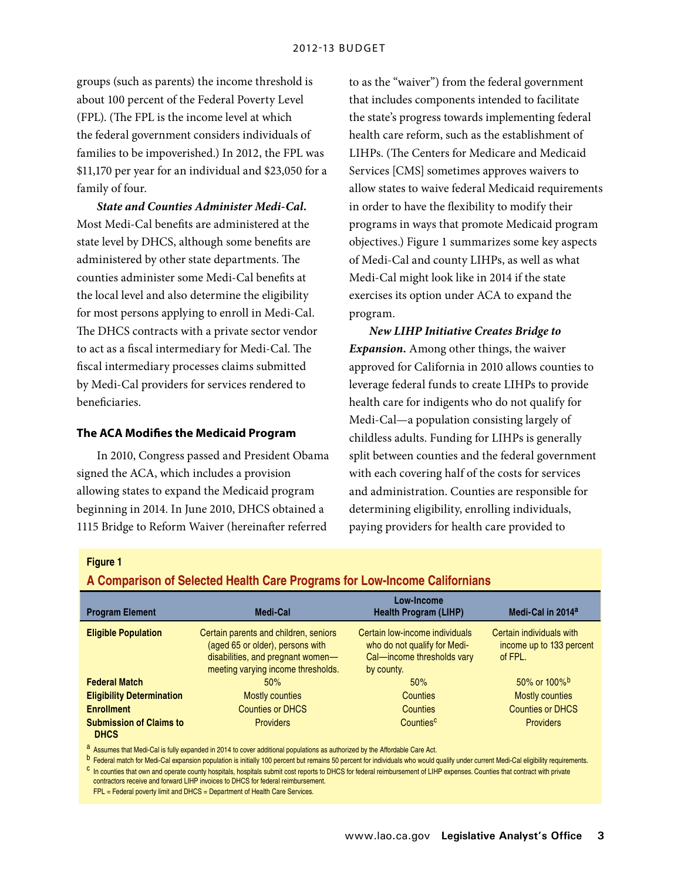groups (such as parents) the income threshold is about 100 percent of the Federal Poverty Level (FPL). (The FPL is the income level at which the federal government considers individuals of families to be impoverished.) In 2012, the FPL was \$11,170 per year for an individual and \$23,050 for a family of four.

*State and Counties Administer Medi-Cal.* Most Medi-Cal benefits are administered at the state level by DHCS, although some benefits are administered by other state departments. The counties administer some Medi-Cal benefits at the local level and also determine the eligibility for most persons applying to enroll in Medi-Cal. The DHCS contracts with a private sector vendor to act as a fiscal intermediary for Medi-Cal. The fiscal intermediary processes claims submitted by Medi-Cal providers for services rendered to beneficiaries.

#### **The ACA Modifies the Medicaid Program**

In 2010, Congress passed and President Obama signed the ACA, which includes a provision allowing states to expand the Medicaid program beginning in 2014. In June 2010, DHCS obtained a 1115 Bridge to Reform Waiver (hereinafter referred

to as the "waiver") from the federal government that includes components intended to facilitate the state's progress towards implementing federal health care reform, such as the establishment of LIHPs. (The Centers for Medicare and Medicaid Services [CMS] sometimes approves waivers to allow states to waive federal Medicaid requirements in order to have the flexibility to modify their programs in ways that promote Medicaid program objectives.) Figure 1 summarizes some key aspects of Medi-Cal and county LIHPs, as well as what Medi-Cal might look like in 2014 if the state exercises its option under ACA to expand the program.

*New LIHP Initiative Creates Bridge to Expansion.* Among other things, the waiver approved for California in 2010 allows counties to leverage federal funds to create LIHPs to provide health care for indigents who do not qualify for Medi-Cal—a population consisting largely of childless adults. Funding for LIHPs is generally split between counties and the federal government with each covering half of the costs for services and administration. Counties are responsible for determining eligibility, enrolling individuals, paying providers for health care provided to

#### **Figure 1**

**A Comparison of Selected Health Care Programs for Low-Income Californians**

| <b>Program Element</b>                        | Medi-Cal                                                                                                                                             | Low-Income<br><b>Health Program (LIHP)</b>                                                                 | Medi-Cal in 2014 <sup>a</sup>                                   |
|-----------------------------------------------|------------------------------------------------------------------------------------------------------------------------------------------------------|------------------------------------------------------------------------------------------------------------|-----------------------------------------------------------------|
| <b>Eligible Population</b>                    | Certain parents and children, seniors<br>(aged 65 or older), persons with<br>disabilities, and pregnant women-<br>meeting varying income thresholds. | Certain low-income individuals<br>who do not qualify for Medi-<br>Cal-income thresholds vary<br>by county. | Certain individuals with<br>income up to 133 percent<br>of FPL. |
| <b>Federal Match</b>                          | 50%                                                                                                                                                  | 50%                                                                                                        | 50% or 100% <sup>b</sup>                                        |
| <b>Eligibility Determination</b>              | <b>Mostly counties</b>                                                                                                                               | Counties                                                                                                   | <b>Mostly counties</b>                                          |
| <b>Enrollment</b>                             | <b>Counties or DHCS</b>                                                                                                                              | Counties                                                                                                   | <b>Counties or DHCS</b>                                         |
| <b>Submission of Claims to</b><br><b>DHCS</b> | <b>Providers</b>                                                                                                                                     | Countiesc                                                                                                  | <b>Providers</b>                                                |

a Assumes that Medi-Cal is fully expanded in 2014 to cover additional populations as authorized by the Affordable Care Act.

b Federal match for Medi-Cal expansion population is initially 100 percent but remains 50 percent for individuals who would qualify under current Medi-Cal eligibility requirements. <sup>C</sup> In counties that own and operate county hospitals, hospitals submit cost reports to DHCS for federal reimbursement of LIHP expenses. Counties that contract with private contractors receive and forward LIHP invoices to DHCS for federal reimbursement.

FPL = Federal poverty limit and DHCS = Department of Health Care Services.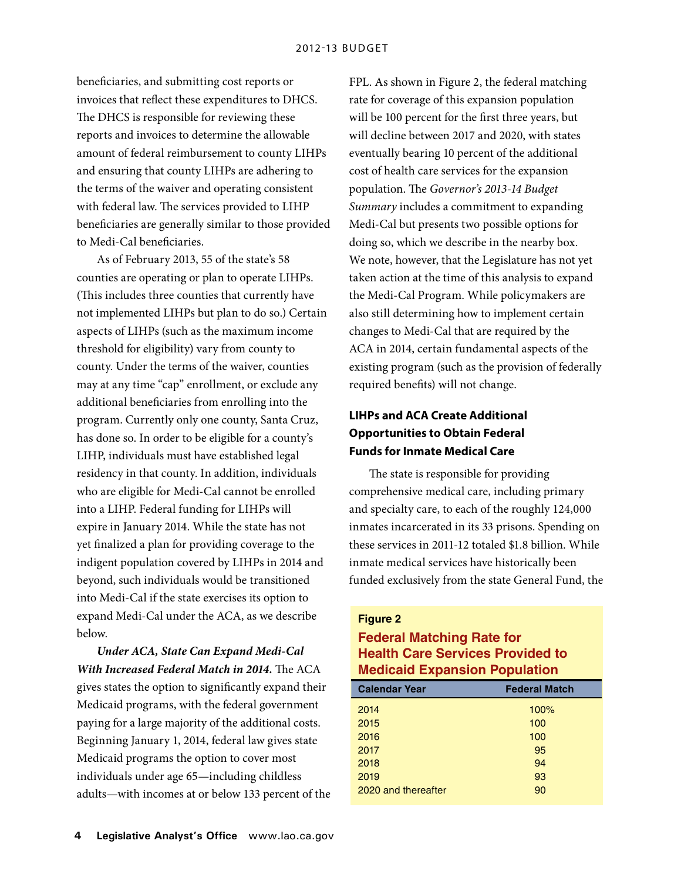beneficiaries, and submitting cost reports or invoices that reflect these expenditures to DHCS. The DHCS is responsible for reviewing these reports and invoices to determine the allowable amount of federal reimbursement to county LIHPs and ensuring that county LIHPs are adhering to the terms of the waiver and operating consistent with federal law. The services provided to LIHP beneficiaries are generally similar to those provided to Medi-Cal beneficiaries.

As of February 2013, 55 of the state's 58 counties are operating or plan to operate LIHPs. (This includes three counties that currently have not implemented LIHPs but plan to do so.) Certain aspects of LIHPs (such as the maximum income threshold for eligibility) vary from county to county. Under the terms of the waiver, counties may at any time "cap" enrollment, or exclude any additional beneficiaries from enrolling into the program. Currently only one county, Santa Cruz, has done so. In order to be eligible for a county's LIHP, individuals must have established legal residency in that county. In addition, individuals who are eligible for Medi-Cal cannot be enrolled into a LIHP. Federal funding for LIHPs will expire in January 2014. While the state has not yet finalized a plan for providing coverage to the indigent population covered by LIHPs in 2014 and beyond, such individuals would be transitioned into Medi-Cal if the state exercises its option to expand Medi-Cal under the ACA, as we describe below.

*Under ACA, State Can Expand Medi-Cal With Increased Federal Match in 2014.* The ACA gives states the option to significantly expand their Medicaid programs, with the federal government paying for a large majority of the additional costs. Beginning January 1, 2014, federal law gives state Medicaid programs the option to cover most individuals under age 65—including childless adults—with incomes at or below 133 percent of the FPL. As shown in Figure 2, the federal matching rate for coverage of this expansion population will be 100 percent for the first three years, but will decline between 2017 and 2020, with states eventually bearing 10 percent of the additional cost of health care services for the expansion population. The *Governor's 2013-14 Budget Summary* includes a commitment to expanding Medi-Cal but presents two possible options for doing so, which we describe in the nearby box. We note, however, that the Legislature has not yet taken action at the time of this analysis to expand the Medi-Cal Program. While policymakers are also still determining how to implement certain changes to Medi-Cal that are required by the ACA in 2014, certain fundamental aspects of the existing program (such as the provision of federally required benefits) will not change.

## **LIHPs and ACA Create Additional Opportunities to Obtain Federal Funds for Inmate Medical Care**

The state is responsible for providing comprehensive medical care, including primary and specialty care, to each of the roughly 124,000 inmates incarcerated in its 33 prisons. Spending on these services in 2011-12 totaled \$1.8 billion. While inmate medical services have historically been funded exclusively from the state General Fund, the

#### **Figure 2**

## **Federal Matching Rate for Health Care Services Provided to Medicaid Expansion Population**

| <b>Calendar Year</b> | <b>Federal Match</b> |
|----------------------|----------------------|
| 2014                 | 100%                 |
| 2015                 | 100                  |
| 2016                 | 100                  |
| 2017                 | 95                   |
| 2018                 | 94                   |
| 2019                 | 93                   |
| 2020 and thereafter  | 90                   |
|                      |                      |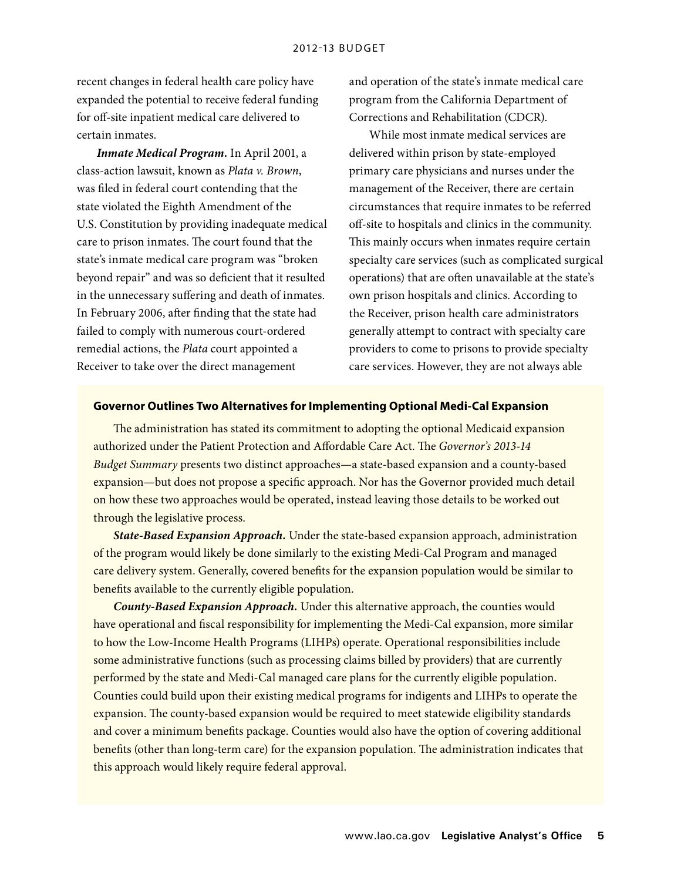recent changes in federal health care policy have expanded the potential to receive federal funding for off-site inpatient medical care delivered to certain inmates.

*Inmate Medical Program.* In April 2001, a class-action lawsuit, known as *Plata v. Brown*, was filed in federal court contending that the state violated the Eighth Amendment of the U.S. Constitution by providing inadequate medical care to prison inmates. The court found that the state's inmate medical care program was "broken beyond repair" and was so deficient that it resulted in the unnecessary suffering and death of inmates. In February 2006, after finding that the state had failed to comply with numerous court-ordered remedial actions, the *Plata* court appointed a Receiver to take over the direct management

and operation of the state's inmate medical care program from the California Department of Corrections and Rehabilitation (CDCR).

While most inmate medical services are delivered within prison by state-employed primary care physicians and nurses under the management of the Receiver, there are certain circumstances that require inmates to be referred off-site to hospitals and clinics in the community. This mainly occurs when inmates require certain specialty care services (such as complicated surgical operations) that are often unavailable at the state's own prison hospitals and clinics. According to the Receiver, prison health care administrators generally attempt to contract with specialty care providers to come to prisons to provide specialty care services. However, they are not always able

#### **Governor Outlines Two Alternatives for Implementing Optional Medi-Cal Expansion**

The administration has stated its commitment to adopting the optional Medicaid expansion authorized under the Patient Protection and Affordable Care Act. The *Governor's 2013-14 Budget Summary* presents two distinct approaches—a state-based expansion and a county-based expansion—but does not propose a specific approach. Nor has the Governor provided much detail on how these two approaches would be operated, instead leaving those details to be worked out through the legislative process.

*State-Based Expansion Approach.* Under the state-based expansion approach, administration of the program would likely be done similarly to the existing Medi-Cal Program and managed care delivery system. Generally, covered benefits for the expansion population would be similar to benefits available to the currently eligible population.

*County-Based Expansion Approach.* Under this alternative approach, the counties would have operational and fiscal responsibility for implementing the Medi-Cal expansion, more similar to how the Low-Income Health Programs (LIHPs) operate. Operational responsibilities include some administrative functions (such as processing claims billed by providers) that are currently performed by the state and Medi-Cal managed care plans for the currently eligible population. Counties could build upon their existing medical programs for indigents and LIHPs to operate the expansion. The county-based expansion would be required to meet statewide eligibility standards and cover a minimum benefits package. Counties would also have the option of covering additional benefits (other than long-term care) for the expansion population. The administration indicates that this approach would likely require federal approval.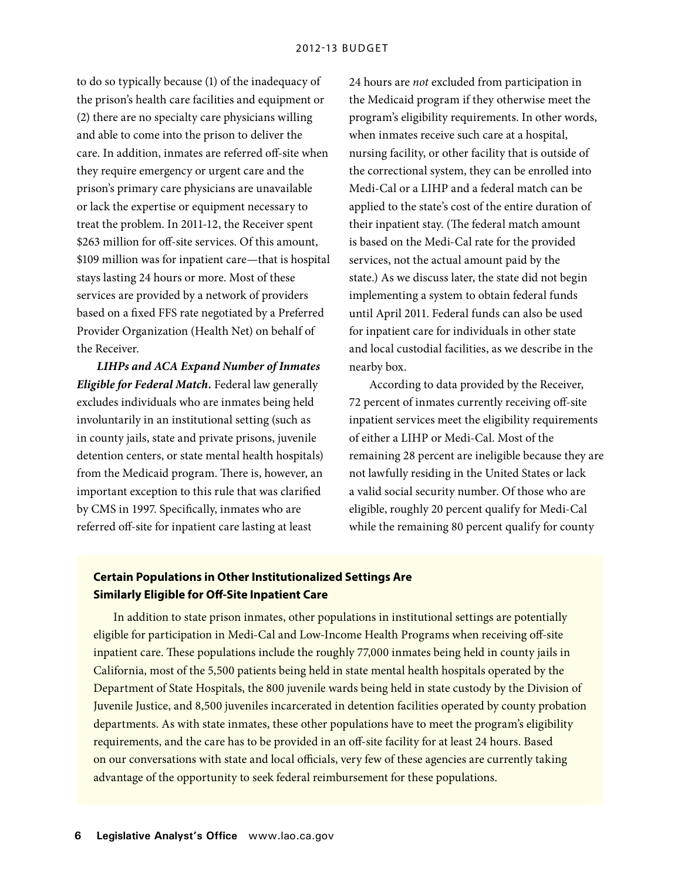to do so typically because (1) of the inadequacy of the prison's health care facilities and equipment or (2) there are no specialty care physicians willing and able to come into the prison to deliver the care. In addition, inmates are referred off-site when they require emergency or urgent care and the prison's primary care physicians are unavailable or lack the expertise or equipment necessary to treat the problem. In 2011-12, the Receiver spent \$263 million for off-site services. Of this amount, \$109 million was for inpatient care—that is hospital stays lasting 24 hours or more. Most of these services are provided by a network of providers based on a fixed FFS rate negotiated by a Preferred Provider Organization (Health Net) on behalf of the Receiver.

*LIHPs and ACA Expand Number of Inmates Eligible for Federal Match.* Federal law generally excludes individuals who are inmates being held involuntarily in an institutional setting (such as in county jails, state and private prisons, juvenile detention centers, or state mental health hospitals) from the Medicaid program. There is, however, an important exception to this rule that was clarified by CMS in 1997. Specifically, inmates who are referred off-site for inpatient care lasting at least

24 hours are *not* excluded from participation in the Medicaid program if they otherwise meet the program's eligibility requirements. In other words, when inmates receive such care at a hospital, nursing facility, or other facility that is outside of the correctional system, they can be enrolled into Medi-Cal or a LIHP and a federal match can be applied to the state's cost of the entire duration of their inpatient stay. (The federal match amount is based on the Medi-Cal rate for the provided services, not the actual amount paid by the state.) As we discuss later, the state did not begin implementing a system to obtain federal funds until April 2011. Federal funds can also be used for inpatient care for individuals in other state and local custodial facilities, as we describe in the nearby box.

According to data provided by the Receiver, 72 percent of inmates currently receiving off-site inpatient services meet the eligibility requirements of either a LIHP or Medi-Cal. Most of the remaining 28 percent are ineligible because they are not lawfully residing in the United States or lack a valid social security number. Of those who are eligible, roughly 20 percent qualify for Medi-Cal while the remaining 80 percent qualify for county

## **Certain Populations in Other Institutionalized Settings Are Similarly Eligible for Off-Site Inpatient Care**

In addition to state prison inmates, other populations in institutional settings are potentially eligible for participation in Medi-Cal and Low-Income Health Programs when receiving off-site inpatient care. These populations include the roughly 77,000 inmates being held in county jails in California, most of the 5,500 patients being held in state mental health hospitals operated by the Department of State Hospitals, the 800 juvenile wards being held in state custody by the Division of Juvenile Justice, and 8,500 juveniles incarcerated in detention facilities operated by county probation departments. As with state inmates, these other populations have to meet the program's eligibility requirements, and the care has to be provided in an off-site facility for at least 24 hours. Based on our conversations with state and local officials, very few of these agencies are currently taking advantage of the opportunity to seek federal reimbursement for these populations.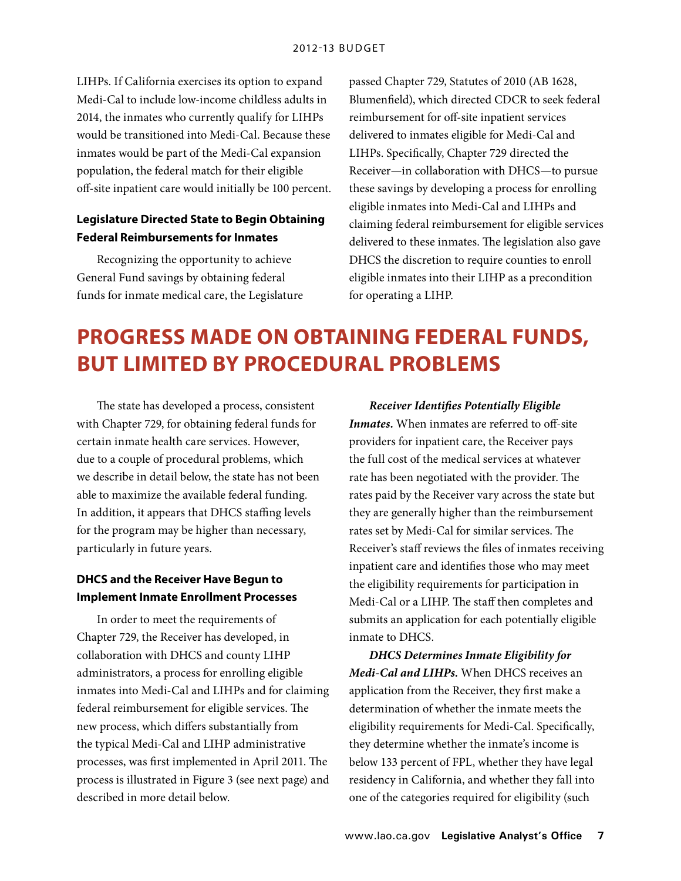LIHPs. If California exercises its option to expand Medi-Cal to include low-income childless adults in 2014, the inmates who currently qualify for LIHPs would be transitioned into Medi-Cal. Because these inmates would be part of the Medi-Cal expansion population, the federal match for their eligible off-site inpatient care would initially be 100 percent.

## **Legislature Directed State to Begin Obtaining Federal Reimbursements for Inmates**

Recognizing the opportunity to achieve General Fund savings by obtaining federal funds for inmate medical care, the Legislature passed Chapter 729, Statutes of 2010 (AB 1628, Blumenfield), which directed CDCR to seek federal reimbursement for off-site inpatient services delivered to inmates eligible for Medi-Cal and LIHPs. Specifically, Chapter 729 directed the Receiver—in collaboration with DHCS—to pursue these savings by developing a process for enrolling eligible inmates into Medi-Cal and LIHPs and claiming federal reimbursement for eligible services delivered to these inmates. The legislation also gave DHCS the discretion to require counties to enroll eligible inmates into their LIHP as a precondition for operating a LIHP.

## **Progress Made on Obtaining Federal Funds, But Limited By Procedural Problems**

The state has developed a process, consistent with Chapter 729, for obtaining federal funds for certain inmate health care services. However, due to a couple of procedural problems, which we describe in detail below, the state has not been able to maximize the available federal funding. In addition, it appears that DHCS staffing levels for the program may be higher than necessary, particularly in future years.

## **DHCS and the Receiver Have Begun to Implement Inmate Enrollment Processes**

In order to meet the requirements of Chapter 729, the Receiver has developed, in collaboration with DHCS and county LIHP administrators, a process for enrolling eligible inmates into Medi-Cal and LIHPs and for claiming federal reimbursement for eligible services. The new process, which differs substantially from the typical Medi-Cal and LIHP administrative processes, was first implemented in April 2011. The process is illustrated in Figure 3 (see next page) and described in more detail below.

*Receiver Identifies Potentially Eligible Inmates.* When inmates are referred to off-site providers for inpatient care, the Receiver pays the full cost of the medical services at whatever rate has been negotiated with the provider. The rates paid by the Receiver vary across the state but they are generally higher than the reimbursement rates set by Medi-Cal for similar services. The Receiver's staff reviews the files of inmates receiving inpatient care and identifies those who may meet the eligibility requirements for participation in Medi-Cal or a LIHP. The staff then completes and submits an application for each potentially eligible inmate to DHCS.

*DHCS Determines Inmate Eligibility for Medi-Cal and LIHPs.* When DHCS receives an application from the Receiver, they first make a determination of whether the inmate meets the eligibility requirements for Medi-Cal. Specifically, they determine whether the inmate's income is below 133 percent of FPL, whether they have legal residency in California, and whether they fall into one of the categories required for eligibility (such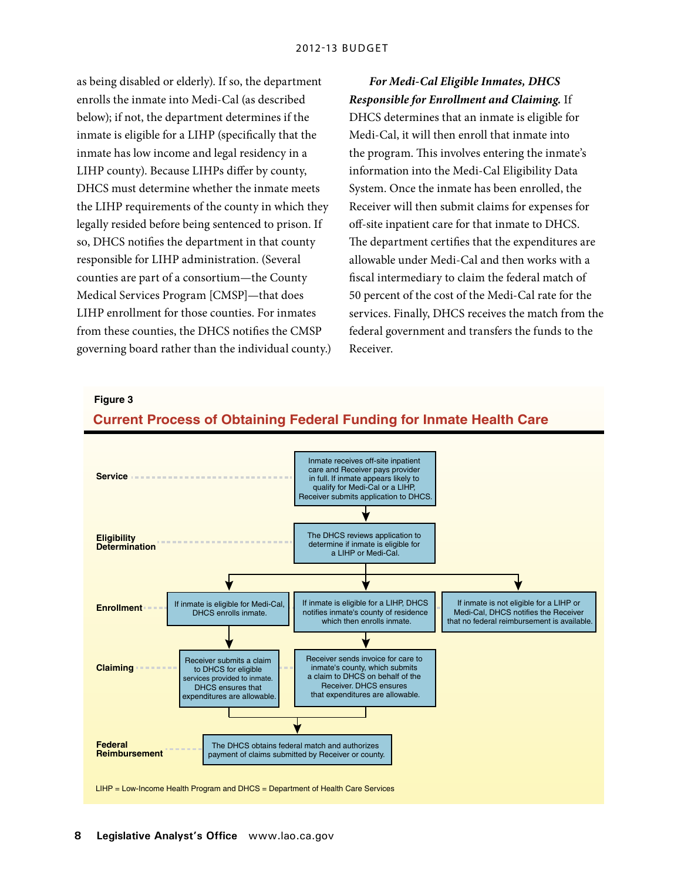as being disabled or elderly). If so, the department enrolls the inmate into Medi-Cal (as described below); if not, the department determines if the inmate is eligible for a LIHP (specifically that the inmate has low income and legal residency in a LIHP county). Because LIHPs differ by county, DHCS must determine whether the inmate meets the LIHP requirements of the county in which they legally resided before being sentenced to prison. If so, DHCS notifies the department in that county responsible for LIHP administration. (Several counties are part of a consortium—the County Medical Services Program [CMSP]—that does LIHP enrollment for those counties. For inmates from these counties, the DHCS notifies the CMSP governing board rather than the individual county.)

*For Medi-Cal Eligible Inmates, DHCS Responsible for Enrollment and Claiming.* If DHCS determines that an inmate is eligible for Medi-Cal, it will then enroll that inmate into the program. This involves entering the inmate's information into the Medi-Cal Eligibility Data System. Once the inmate has been enrolled, the Receiver will then submit claims for expenses for off-site inpatient care for that inmate to DHCS. The department certifies that the expenditures are allowable under Medi-Cal and then works with a fiscal intermediary to claim the federal match of 50 percent of the cost of the Medi-Cal rate for the services. Finally, DHCS receives the match from the federal government and transfers the funds to the Receiver.

**Figure 3**



**Current Process of Obtaining Federal Funding for Inmate Health Care**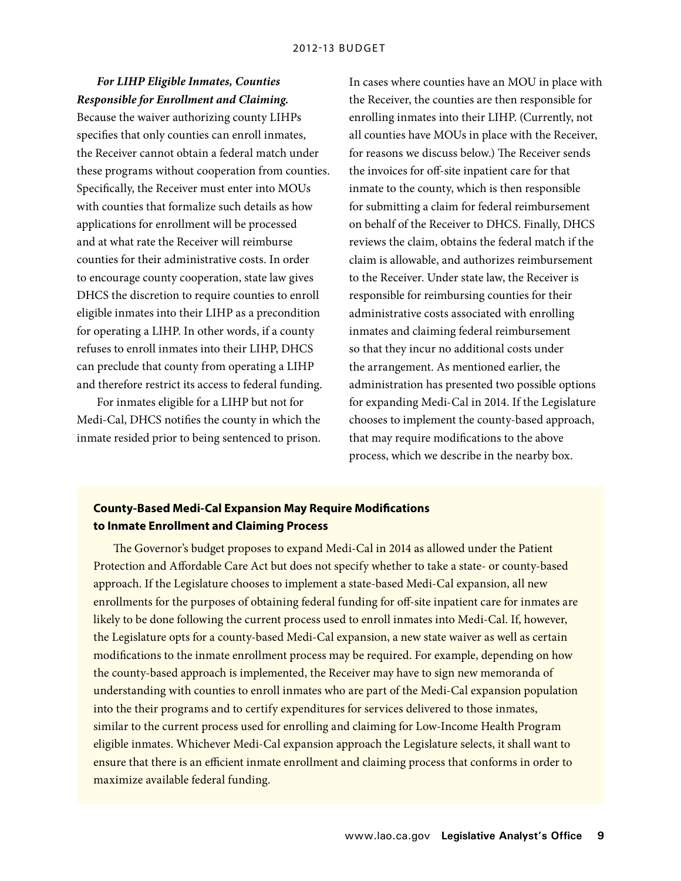## *For LIHP Eligible Inmates, Counties Responsible for Enrollment and Claiming.*

Because the waiver authorizing county LIHPs specifies that only counties can enroll inmates, the Receiver cannot obtain a federal match under these programs without cooperation from counties. Specifically, the Receiver must enter into MOUs with counties that formalize such details as how applications for enrollment will be processed and at what rate the Receiver will reimburse counties for their administrative costs. In order to encourage county cooperation, state law gives DHCS the discretion to require counties to enroll eligible inmates into their LIHP as a precondition for operating a LIHP. In other words, if a county refuses to enroll inmates into their LIHP, DHCS can preclude that county from operating a LIHP and therefore restrict its access to federal funding.

For inmates eligible for a LIHP but not for Medi-Cal, DHCS notifies the county in which the inmate resided prior to being sentenced to prison. In cases where counties have an MOU in place with the Receiver, the counties are then responsible for enrolling inmates into their LIHP. (Currently, not all counties have MOUs in place with the Receiver, for reasons we discuss below.) The Receiver sends the invoices for off-site inpatient care for that inmate to the county, which is then responsible for submitting a claim for federal reimbursement on behalf of the Receiver to DHCS. Finally, DHCS reviews the claim, obtains the federal match if the claim is allowable, and authorizes reimbursement to the Receiver. Under state law, the Receiver is responsible for reimbursing counties for their administrative costs associated with enrolling inmates and claiming federal reimbursement so that they incur no additional costs under the arrangement. As mentioned earlier, the administration has presented two possible options for expanding Medi-Cal in 2014. If the Legislature chooses to implement the county-based approach, that may require modifications to the above process, which we describe in the nearby box.

#### **County-Based Medi-Cal Expansion May Require Modifications to Inmate Enrollment and Claiming Process**

The Governor's budget proposes to expand Medi-Cal in 2014 as allowed under the Patient Protection and Affordable Care Act but does not specify whether to take a state- or county-based approach. If the Legislature chooses to implement a state-based Medi-Cal expansion, all new enrollments for the purposes of obtaining federal funding for off-site inpatient care for inmates are likely to be done following the current process used to enroll inmates into Medi-Cal. If, however, the Legislature opts for a county-based Medi-Cal expansion, a new state waiver as well as certain modifications to the inmate enrollment process may be required. For example, depending on how the county-based approach is implemented, the Receiver may have to sign new memoranda of understanding with counties to enroll inmates who are part of the Medi-Cal expansion population into the their programs and to certify expenditures for services delivered to those inmates, similar to the current process used for enrolling and claiming for Low-Income Health Program eligible inmates. Whichever Medi-Cal expansion approach the Legislature selects, it shall want to ensure that there is an efficient inmate enrollment and claiming process that conforms in order to maximize available federal funding.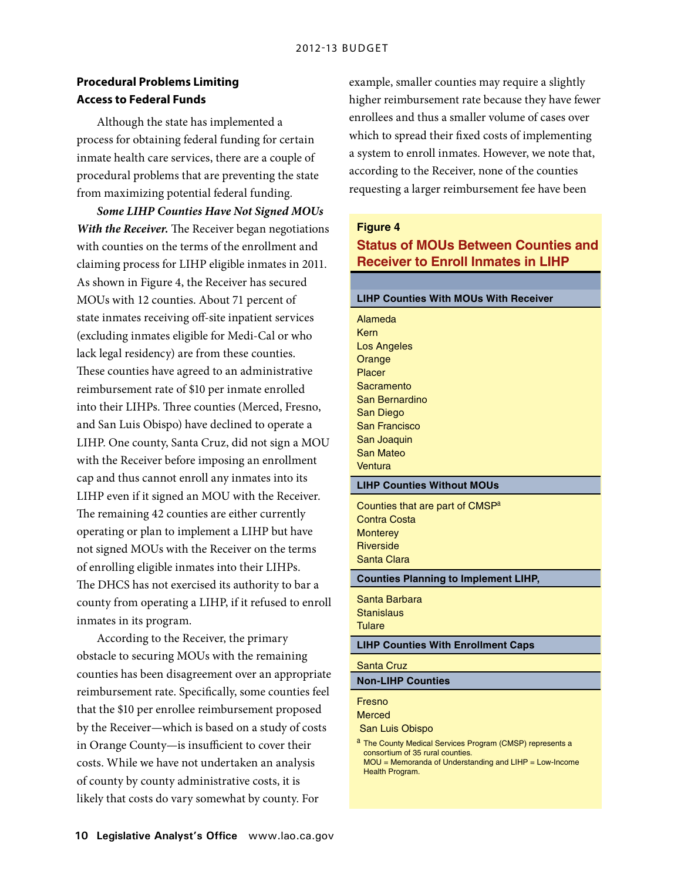### **Procedural Problems Limiting Access to Federal Funds**

Although the state has implemented a process for obtaining federal funding for certain inmate health care services, there are a couple of procedural problems that are preventing the state from maximizing potential federal funding.

*Some LIHP Counties Have Not Signed MOUs With the Receiver.* The Receiver began negotiations with counties on the terms of the enrollment and claiming process for LIHP eligible inmates in 2011. As shown in Figure 4, the Receiver has secured MOUs with 12 counties. About 71 percent of state inmates receiving off-site inpatient services (excluding inmates eligible for Medi-Cal or who lack legal residency) are from these counties. These counties have agreed to an administrative reimbursement rate of \$10 per inmate enrolled into their LIHPs. Three counties (Merced, Fresno, and San Luis Obispo) have declined to operate a LIHP. One county, Santa Cruz, did not sign a MOU with the Receiver before imposing an enrollment cap and thus cannot enroll any inmates into its LIHP even if it signed an MOU with the Receiver. The remaining 42 counties are either currently operating or plan to implement a LIHP but have not signed MOUs with the Receiver on the terms of enrolling eligible inmates into their LIHPs. The DHCS has not exercised its authority to bar a county from operating a LIHP, if it refused to enroll inmates in its program.

According to the Receiver, the primary obstacle to securing MOUs with the remaining counties has been disagreement over an appropriate reimbursement rate. Specifically, some counties feel that the \$10 per enrollee reimbursement proposed by the Receiver—which is based on a study of costs in Orange County—is insufficient to cover their costs. While we have not undertaken an analysis of county by county administrative costs, it is likely that costs do vary somewhat by county. For

example, smaller counties may require a slightly higher reimbursement rate because they have fewer enrollees and thus a smaller volume of cases over which to spread their fixed costs of implementing a system to enroll inmates. However, we note that, according to the Receiver, none of the counties requesting a larger reimbursement fee have been

#### **Figure 4**

## **Status of MOUs Between Counties and Receiver to Enroll Inmates in LIHP**

## **LIHP Counties With MOUs With Receiver** Alameda **Kern** Los Angeles **Orange** Placer **Sacramento** San Bernardino San Diego San Francisco San Joaquin San Mateo **Ventura LIHP Counties Without MOUs** Counties that are part of CMSP<sup>a</sup> Contra Costa **Monterey Riverside** Santa Clara **Counties Planning to Implement LIHP,** Santa Barbara **Stanislaus Tulare LIHP Counties With Enrollment Caps** Santa Cruz **Non-LIHP Counties** Fresno Merced San Luis Obispo a The County Medical Services Program (CMSP) represents a consortium of 35 rural counties. MOU = Memoranda of Understanding and LIHP = Low-Income

Health Program.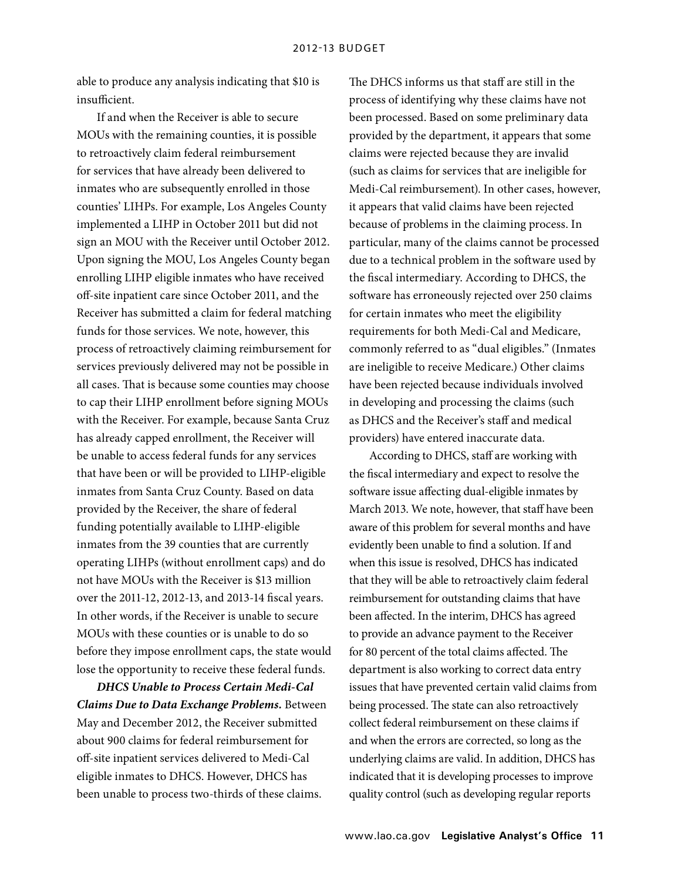able to produce any analysis indicating that \$10 is insufficient.

If and when the Receiver is able to secure MOUs with the remaining counties, it is possible to retroactively claim federal reimbursement for services that have already been delivered to inmates who are subsequently enrolled in those counties' LIHPs. For example, Los Angeles County implemented a LIHP in October 2011 but did not sign an MOU with the Receiver until October 2012. Upon signing the MOU, Los Angeles County began enrolling LIHP eligible inmates who have received off-site inpatient care since October 2011, and the Receiver has submitted a claim for federal matching funds for those services. We note, however, this process of retroactively claiming reimbursement for services previously delivered may not be possible in all cases. That is because some counties may choose to cap their LIHP enrollment before signing MOUs with the Receiver. For example, because Santa Cruz has already capped enrollment, the Receiver will be unable to access federal funds for any services that have been or will be provided to LIHP-eligible inmates from Santa Cruz County. Based on data provided by the Receiver, the share of federal funding potentially available to LIHP-eligible inmates from the 39 counties that are currently operating LIHPs (without enrollment caps) and do not have MOUs with the Receiver is \$13 million over the 2011-12, 2012-13, and 2013-14 fiscal years. In other words, if the Receiver is unable to secure MOUs with these counties or is unable to do so before they impose enrollment caps, the state would lose the opportunity to receive these federal funds.

*DHCS Unable to Process Certain Medi-Cal Claims Due to Data Exchange Problems.* Between May and December 2012, the Receiver submitted about 900 claims for federal reimbursement for off-site inpatient services delivered to Medi-Cal eligible inmates to DHCS. However, DHCS has been unable to process two-thirds of these claims.

The DHCS informs us that staff are still in the process of identifying why these claims have not been processed. Based on some preliminary data provided by the department, it appears that some claims were rejected because they are invalid (such as claims for services that are ineligible for Medi-Cal reimbursement). In other cases, however, it appears that valid claims have been rejected because of problems in the claiming process. In particular, many of the claims cannot be processed due to a technical problem in the software used by the fiscal intermediary. According to DHCS, the software has erroneously rejected over 250 claims for certain inmates who meet the eligibility requirements for both Medi-Cal and Medicare, commonly referred to as "dual eligibles." (Inmates are ineligible to receive Medicare.) Other claims have been rejected because individuals involved in developing and processing the claims (such as DHCS and the Receiver's staff and medical providers) have entered inaccurate data.

According to DHCS, staff are working with the fiscal intermediary and expect to resolve the software issue affecting dual-eligible inmates by March 2013. We note, however, that staff have been aware of this problem for several months and have evidently been unable to find a solution. If and when this issue is resolved, DHCS has indicated that they will be able to retroactively claim federal reimbursement for outstanding claims that have been affected. In the interim, DHCS has agreed to provide an advance payment to the Receiver for 80 percent of the total claims affected. The department is also working to correct data entry issues that have prevented certain valid claims from being processed. The state can also retroactively collect federal reimbursement on these claims if and when the errors are corrected, so long as the underlying claims are valid. In addition, DHCS has indicated that it is developing processes to improve quality control (such as developing regular reports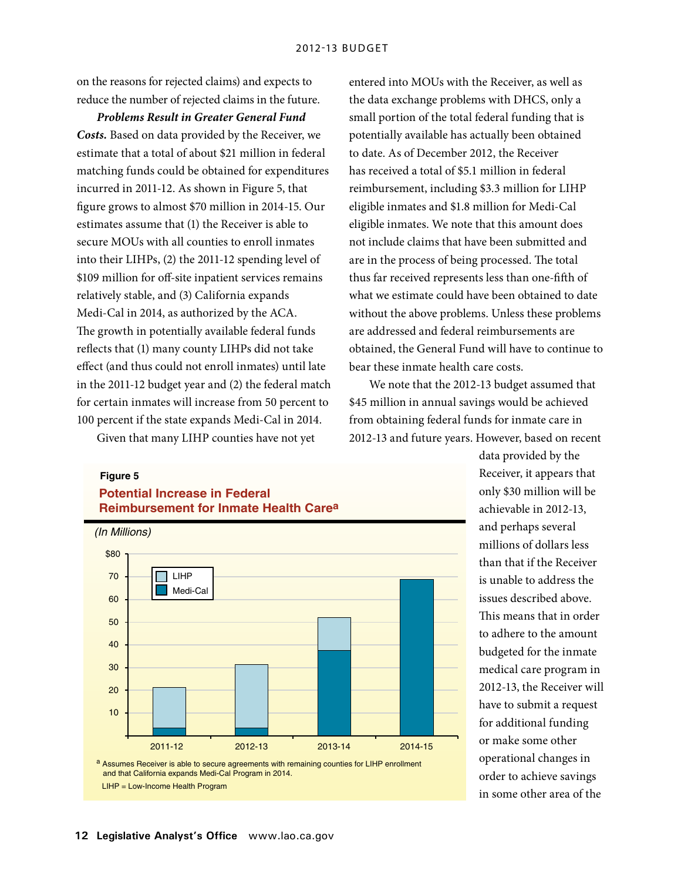on the reasons for rejected claims) and expects to reduce the number of rejected claims in the future.

*Problems Result in Greater General Fund Costs.* Based on data provided by the Receiver, we estimate that a total of about \$21 million in federal matching funds could be obtained for expenditures incurred in 2011-12. As shown in Figure 5, that figure grows to almost \$70 million in 2014-15. Our estimates assume that (1) the Receiver is able to secure MOUs with all counties to enroll inmates into their LIHPs, (2) the 2011-12 spending level of \$109 million for off-site inpatient services remains relatively stable, and (3) California expands Medi-Cal in 2014, as authorized by the ACA. The growth in potentially available federal funds reflects that (1) many county LIHPs did not take effect (and thus could not enroll inmates) until late in the 2011-12 budget year and (2) the federal match for certain inmates will increase from 50 percent to 100 percent if the state expands Medi-Cal in 2014.

Given that many LIHP counties have not yet

entered into MOUs with the Receiver, as well as the data exchange problems with DHCS, only a small portion of the total federal funding that is potentially available has actually been obtained to date. As of December 2012, the Receiver has received a total of \$5.1 million in federal reimbursement, including \$3.3 million for LIHP eligible inmates and \$1.8 million for Medi-Cal eligible inmates. We note that this amount does not include claims that have been submitted and are in the process of being processed. The total thus far received represents less than one-fifth of what we estimate could have been obtained to date without the above problems. Unless these problems are addressed and federal reimbursements are obtained, the General Fund will have to continue to bear these inmate health care costs. *Secretary Analyst*

We note that the 2012-13 budget assumed that *Director* \$45 million in annual savings would be achieved *Deputy* from obtaining federal funds for inmate care in 2012-13 and future years. However, based on recent

#### **Figure 5**



data provided by the Receiver, it appears that only \$30 million will be achievable in 2012-13, and perhaps several millions of dollars less than that if the Receiver is unable to address the issues described above. This means that in order to adhere to the amount budgeted for the inmate medical care program in 2012-13, the Receiver will have to submit a request for additional funding or make some other operational changes in order to achieve savings in some other area of the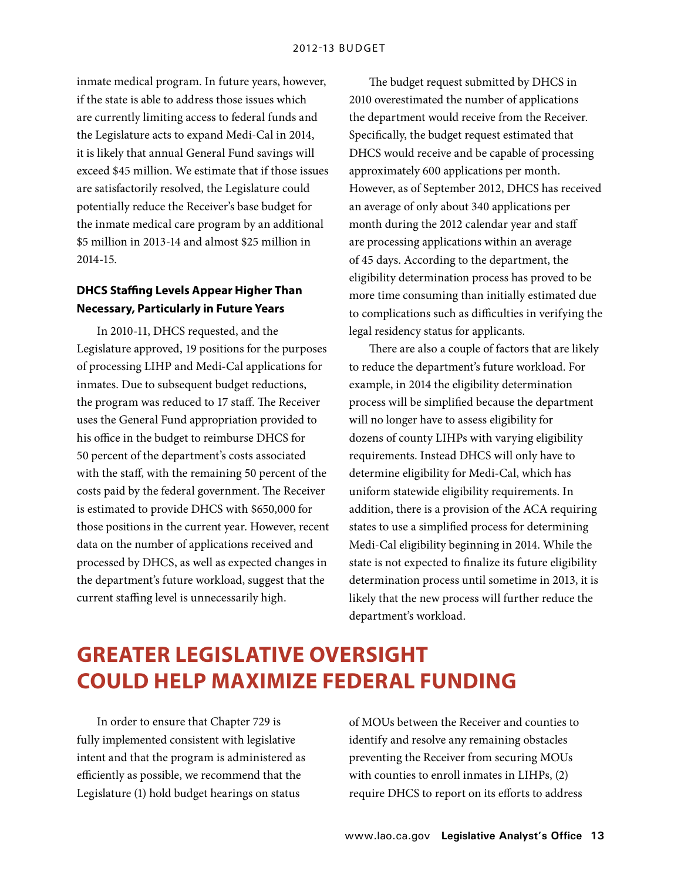inmate medical program. In future years, however, if the state is able to address those issues which are currently limiting access to federal funds and the Legislature acts to expand Medi-Cal in 2014, it is likely that annual General Fund savings will exceed \$45 million. We estimate that if those issues are satisfactorily resolved, the Legislature could potentially reduce the Receiver's base budget for the inmate medical care program by an additional \$5 million in 2013-14 and almost \$25 million in 2014-15.

## **DHCS Staffing Levels Appear Higher Than Necessary, Particularly in Future Years**

In 2010-11, DHCS requested, and the Legislature approved, 19 positions for the purposes of processing LIHP and Medi-Cal applications for inmates. Due to subsequent budget reductions, the program was reduced to 17 staff. The Receiver uses the General Fund appropriation provided to his office in the budget to reimburse DHCS for 50 percent of the department's costs associated with the staff, with the remaining 50 percent of the costs paid by the federal government. The Receiver is estimated to provide DHCS with \$650,000 for those positions in the current year. However, recent data on the number of applications received and processed by DHCS, as well as expected changes in the department's future workload, suggest that the current staffing level is unnecessarily high.

The budget request submitted by DHCS in 2010 overestimated the number of applications the department would receive from the Receiver. Specifically, the budget request estimated that DHCS would receive and be capable of processing approximately 600 applications per month. However, as of September 2012, DHCS has received an average of only about 340 applications per month during the 2012 calendar year and staff are processing applications within an average of 45 days. According to the department, the eligibility determination process has proved to be more time consuming than initially estimated due to complications such as difficulties in verifying the legal residency status for applicants.

There are also a couple of factors that are likely to reduce the department's future workload. For example, in 2014 the eligibility determination process will be simplified because the department will no longer have to assess eligibility for dozens of county LIHPs with varying eligibility requirements. Instead DHCS will only have to determine eligibility for Medi-Cal, which has uniform statewide eligibility requirements. In addition, there is a provision of the ACA requiring states to use a simplified process for determining Medi-Cal eligibility beginning in 2014. While the state is not expected to finalize its future eligibility determination process until sometime in 2013, it is likely that the new process will further reduce the department's workload.

## **Greater Legislative Oversight Could Help Maximize Federal Funding**

In order to ensure that Chapter 729 is fully implemented consistent with legislative intent and that the program is administered as efficiently as possible, we recommend that the Legislature (1) hold budget hearings on status

of MOUs between the Receiver and counties to identify and resolve any remaining obstacles preventing the Receiver from securing MOUs with counties to enroll inmates in LIHPs, (2) require DHCS to report on its efforts to address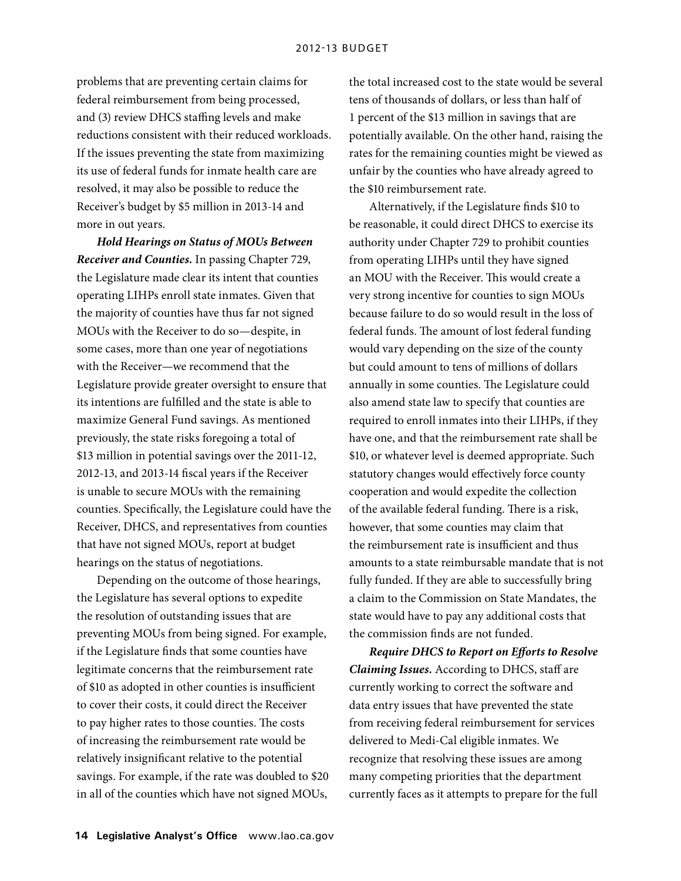problems that are preventing certain claims for federal reimbursement from being processed, and (3) review DHCS staffing levels and make reductions consistent with their reduced workloads. If the issues preventing the state from maximizing its use of federal funds for inmate health care are resolved, it may also be possible to reduce the Receiver's budget by \$5 million in 2013-14 and more in out years.

*Hold Hearings on Status of MOUs Between Receiver and Counties.* In passing Chapter 729, the Legislature made clear its intent that counties operating LIHPs enroll state inmates. Given that the majority of counties have thus far not signed MOUs with the Receiver to do so—despite, in some cases, more than one year of negotiations with the Receiver—we recommend that the Legislature provide greater oversight to ensure that its intentions are fulfilled and the state is able to maximize General Fund savings. As mentioned previously, the state risks foregoing a total of \$13 million in potential savings over the 2011-12, 2012-13, and 2013-14 fiscal years if the Receiver is unable to secure MOUs with the remaining counties. Specifically, the Legislature could have the Receiver, DHCS, and representatives from counties that have not signed MOUs, report at budget hearings on the status of negotiations.

Depending on the outcome of those hearings, the Legislature has several options to expedite the resolution of outstanding issues that are preventing MOUs from being signed. For example, if the Legislature finds that some counties have legitimate concerns that the reimbursement rate of \$10 as adopted in other counties is insufficient to cover their costs, it could direct the Receiver to pay higher rates to those counties. The costs of increasing the reimbursement rate would be relatively insignificant relative to the potential savings. For example, if the rate was doubled to \$20 in all of the counties which have not signed MOUs,

the total increased cost to the state would be several tens of thousands of dollars, or less than half of 1 percent of the \$13 million in savings that are potentially available. On the other hand, raising the rates for the remaining counties might be viewed as unfair by the counties who have already agreed to the \$10 reimbursement rate.

Alternatively, if the Legislature finds \$10 to be reasonable, it could direct DHCS to exercise its authority under Chapter 729 to prohibit counties from operating LIHPs until they have signed an MOU with the Receiver. This would create a very strong incentive for counties to sign MOUs because failure to do so would result in the loss of federal funds. The amount of lost federal funding would vary depending on the size of the county but could amount to tens of millions of dollars annually in some counties. The Legislature could also amend state law to specify that counties are required to enroll inmates into their LIHPs, if they have one, and that the reimbursement rate shall be \$10, or whatever level is deemed appropriate. Such statutory changes would effectively force county cooperation and would expedite the collection of the available federal funding. There is a risk, however, that some counties may claim that the reimbursement rate is insufficient and thus amounts to a state reimbursable mandate that is not fully funded. If they are able to successfully bring a claim to the Commission on State Mandates, the state would have to pay any additional costs that the commission finds are not funded.

*Require DHCS to Report on Efforts to Resolve Claiming Issues.* According to DHCS, staff are currently working to correct the software and data entry issues that have prevented the state from receiving federal reimbursement for services delivered to Medi-Cal eligible inmates. We recognize that resolving these issues are among many competing priorities that the department currently faces as it attempts to prepare for the full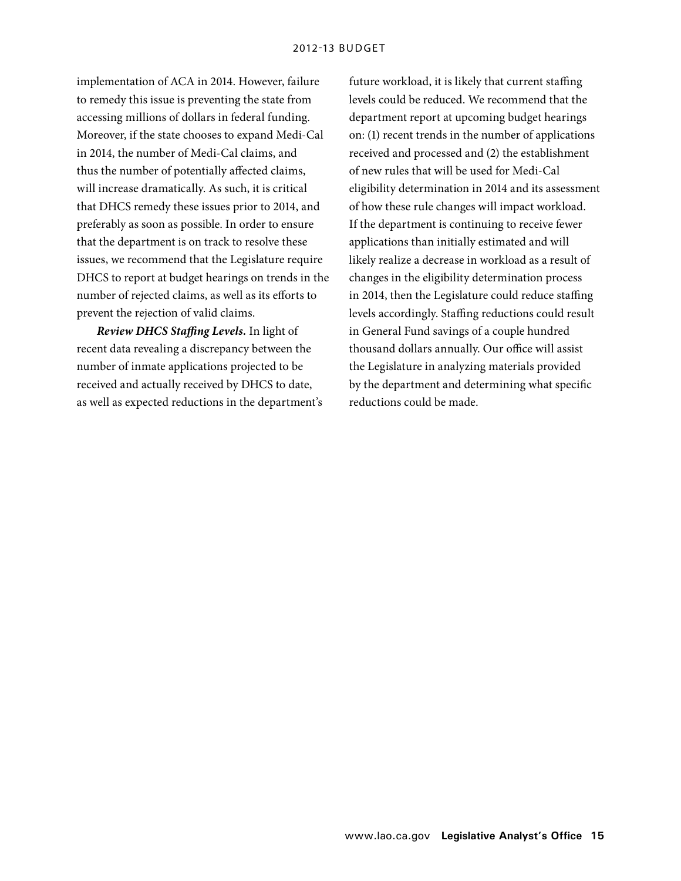implementation of ACA in 2014. However, failure to remedy this issue is preventing the state from accessing millions of dollars in federal funding. Moreover, if the state chooses to expand Medi-Cal in 2014, the number of Medi-Cal claims, and thus the number of potentially affected claims, will increase dramatically. As such, it is critical that DHCS remedy these issues prior to 2014, and preferably as soon as possible. In order to ensure that the department is on track to resolve these issues, we recommend that the Legislature require DHCS to report at budget hearings on trends in the number of rejected claims, as well as its efforts to prevent the rejection of valid claims.

*Review DHCS Staffing Levels.* In light of recent data revealing a discrepancy between the number of inmate applications projected to be received and actually received by DHCS to date, as well as expected reductions in the department's

future workload, it is likely that current staffing levels could be reduced. We recommend that the department report at upcoming budget hearings on: (1) recent trends in the number of applications received and processed and (2) the establishment of new rules that will be used for Medi-Cal eligibility determination in 2014 and its assessment of how these rule changes will impact workload. If the department is continuing to receive fewer applications than initially estimated and will likely realize a decrease in workload as a result of changes in the eligibility determination process in 2014, then the Legislature could reduce staffing levels accordingly. Staffing reductions could result in General Fund savings of a couple hundred thousand dollars annually. Our office will assist the Legislature in analyzing materials provided by the department and determining what specific reductions could be made.